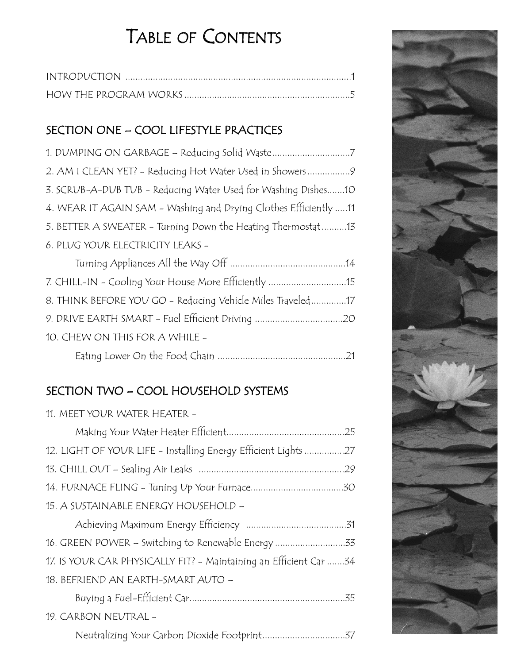# TABLE OF CONTENTS

#### SECTION ONE – COOL LIFESTYLE PRACTICES

| 2. AM I CLEAN YET? - Reducing Hot Water Used in Showers9         |
|------------------------------------------------------------------|
| 3. SCRUB-A-DUB TUB - Reducing Water Used for Washing Dishes10    |
| 4. WEAR IT AGAIN SAM - Washing and Drying Clothes Efficiently 11 |
| 5. BETTER A SWEATER - Turning Down the Heating Thermostat13      |
| 6. PLUG YOUR ELECTRICITY LEAKS -                                 |
|                                                                  |
|                                                                  |
| 7. CHILL-IN - Cooling Your House More Efficiently 15             |
| 8. THINK BEFORE YOU GO - Reducing Vehicle Miles Traveled17       |
| 9. DRIVE EARTH SMART - Fuel Efficient Driving 20                 |
| 10. CHEW ON THIS FOR A WHILE -                                   |

## SECTION TWO – COOL HOUSEHOLD SYSTEMS

| 11. MEET YOUR WATER HEATER -                                       |  |
|--------------------------------------------------------------------|--|
|                                                                    |  |
| 12. LIGHT OF YOUR LIFE - Installing Energy Efficient Lights 27     |  |
|                                                                    |  |
|                                                                    |  |
| 15. A SUSTAINABLE ENERGY HOUSEHOLD -                               |  |
|                                                                    |  |
| 16. GREEN POWER - Switching to Renewable Energy 33                 |  |
| 17. IS YOUR CAR PHYSICALLY FIT? - Maintaining an Efficient Car  34 |  |
| 18. BEFRIEND AN EARTH-SMART AUTO -                                 |  |
|                                                                    |  |
| 19. CARBON NEUTRAL -                                               |  |
|                                                                    |  |